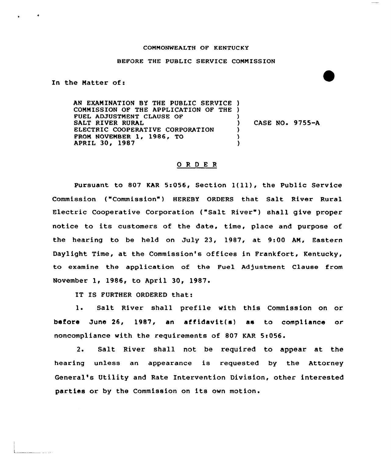## COMMONWEALTH OF KENTUCKY

## BEFORE THE PUBLIC SERVICE COMMISSION

In the Natter of:

AN EXANINATION BY THE PUBLIC SERVICE ) CONNISSION OF THE APPLICATION OF THE ) FUEL ADJUSTMENT CLAUSE OF ) SALT RIVER RURAL ) CASE NO. 9755-A ELECTRIC COOPERATIVE CORPORATION ) PRON NOVENBER 1, 1986, TO ) APRIL 30, 1987 )

## ORDER

Pursuant to <sup>807</sup> KAR 5:056, Section 1(ll), the Public Service Commission ("Commission") HEREBY ORDERS that Salt River Rural Electric Cooperative Corporation ("Salt River") shall give proper notice to its customers of the date, time, place and purpose of the hearing to be held on July 23, 1987, at 9:00 AN, Eastern Daylight Time, at the Commission's offices in Frankfort, Kentucky, to examine the application of the Fuel Adjustment Clause from November 1, 1986, to April 30, 1987.

IT IS FURTHER ORDERED that:

l. Salt River shall prefile with this Commission on or before June 26, 1987, an affidavit(s) as to compliance or noncompliance with the requirements of 807 KAR 5:056.

2. Salt River shall not be required to appear at the hearing unless an appearance is requested by the Attorney General's Utility and Rate Intervention Division, other interested parties or by the Commission on its own motion.